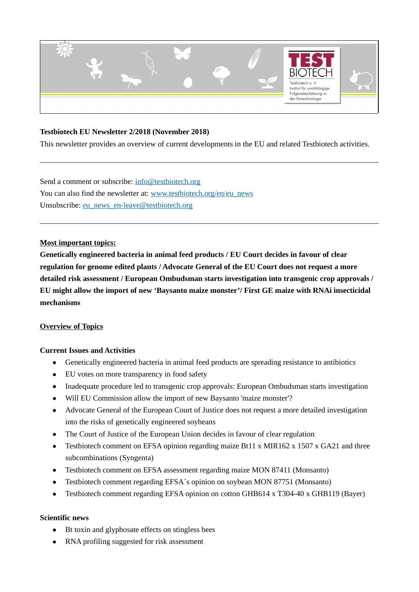

## **Testbiotech EU Newsletter 2/2018 (November 2018)**

This newsletter provides an overview of current developments in the EU and related Testbiotech activities.

Send a comment or subscribe: [info@testbiotech.org](mailto:info@testbiotech.org) You can also find the newsletter at: [www.testbiotech.org/en/eu\\_news](http://www.testbiotech.org/en/eu_news) Unsubscribe: [eu\\_news\\_en-leave@testbiotech.org](mailto:eu_news_en-leave@testbiotech.org)

#### **Most important topics:**

**Genetically engineered bacteria in animal feed products / EU Court decides in favour of clear regulation for genome edited plants / Advocate General of the EU Court does not request a more detailed risk assessment / European Ombudsman starts investigation into transgenic crop approvals / EU might allow the import of new 'Baysanto maize monster'/ First GE maize with RNAi insecticidal mechanisms** 

## **Overview of Topics**

#### **Current Issues and Activities**

- Genetically engineered bacteria in animal feed products are spreading resistance to antibiotics
- EU votes on more transparency in food safety
- Inadequate procedure led to transgenic crop approvals: European Ombudsman starts investigation
- Will EU Commission allow the import of new Baysanto 'maize monster'?
- Advocate General of the European Court of Justice does not request a more detailed investigation into the risks of genetically engineered soybeans
- The Court of Justice of the European Union decides in favour of clear regulation
- Testbiotech comment on EFSA opinion regarding maize Bt11 x MIR162 x 1507 x GA21 and three subcombinations (Syngenta)
- Testbiotech comment on EFSA assessment regarding maize MON 87411 (Monsanto)
- Testbiotech comment regarding EFSA´s opinion on soybean MON 87751 (Monsanto)
- Testbiotech comment regarding EFSA opinion on cotton GHB614 x T304-40 x GHB119 (Bayer)

#### **Scientific news**

- Bt toxin and glyphosate effects on stingless bees
- RNA profiling suggested for risk assessment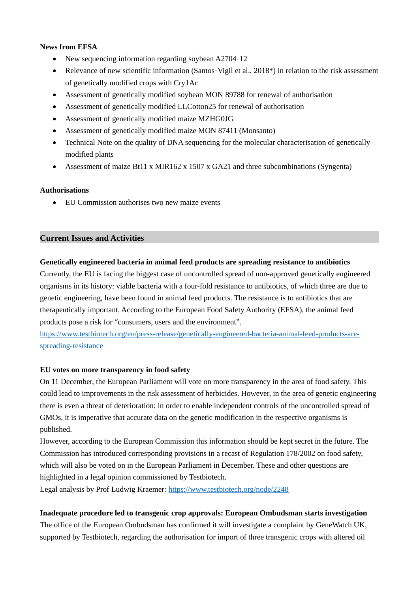#### **News from EFSA**

- New sequencing information regarding soybean A2704-12
- Relevance of new scientific information (Santos-Vigil et al., 2018\*) in relation to the risk assessment of genetically modified crops with Cry1Ac
- Assessment of genetically modified soybean MON 89788 for renewal of authorisation
- Assessment of genetically modified LLCotton25 for renewal of authorisation
- Assessment of genetically modified maize MZHG0JG
- Assessment of genetically modified maize MON 87411 (Monsanto)
- Technical Note on the quality of DNA sequencing for the molecular characterisation of genetically modified plants
- Assessment of maize Bt11 x MIR162 x 1507 x GA21 and three subcombinations (Syngenta)

#### **Authorisations**

EU Commission authorises two new maize events

## **Current Issues and Activities**

## **Genetically engineered bacteria in animal feed products are spreading resistance to antibiotics**

Currently, the EU is facing the biggest case of uncontrolled spread of non-approved genetically engineered organisms in its history: viable bacteria with a four-fold resistance to antibiotics, of which three are due to genetic engineering, have been found in animal feed products. The resistance is to antibiotics that are therapeutically important. According to the European Food Safety Authority (EFSA), the animal feed products pose a risk for "consumers, users and the environment".

[https://www.testbiotech.org/en/press-release/genetically-engineered-bacteria-animal-feed-products-are](https://www.testbiotech.org/en/press-release/genetically-engineered-bacteria-animal-feed-products-are-spreading-resistance)[spreading-resistance](https://www.testbiotech.org/en/press-release/genetically-engineered-bacteria-animal-feed-products-are-spreading-resistance)

## **EU votes on more transparency in food safety**

On 11 December, the European Parliament will vote on more transparency in the area of food safety. This could lead to improvements in the risk assessment of herbicides. However, in the area of genetic engineering there is even a threat of deterioration: in order to enable independent controls of the uncontrolled spread of GMOs, it is imperative that accurate data on the genetic modification in the respective organisms is published.

However, according to the European Commission this information should be kept secret in the future. The Commission has introduced corresponding provisions in a recast of Regulation 178/2002 on food safety, which will also be voted on in the European Parliament in December. These and other questions are highlighted in a legal opinion commissioned by Testbiotech.

Legal analysis by Prof Ludwig Kraemer:<https://www.testbiotech.org/node/2248>

## **Inadequate procedure led to transgenic crop approvals: European Ombudsman starts investigation**

The office of the European Ombudsman has confirmed it will investigate a complaint by GeneWatch UK, supported by Testbiotech, regarding the authorisation for import of three transgenic crops with altered oil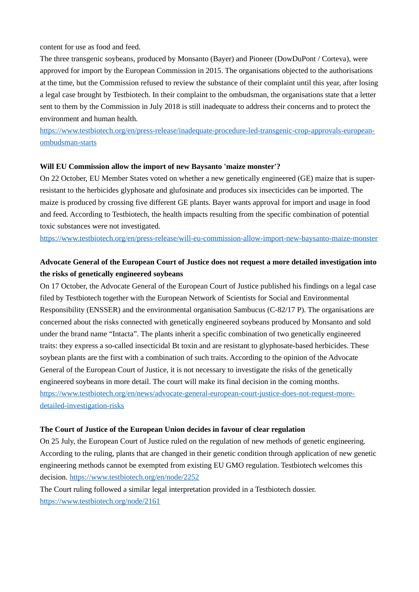content for use as food and feed.

The three transgenic soybeans, produced by Monsanto (Bayer) and Pioneer (DowDuPont / Corteva), were approved for import by the European Commission in 2015. The organisations objected to the authorisations at the time, but the Commission refused to review the substance of their complaint until this year, after losing a legal case brought by Testbiotech. In their complaint to the ombudsman, the organisations state that a letter sent to them by the Commission in July 2018 is still inadequate to address their concerns and to protect the environment and human health.

[https://www.testbiotech.org/en/press-release/inadequate-procedure-led-transgenic-crop-approvals-european](https://www.testbiotech.org/en/press-release/inadequate-procedure-led-transgenic-crop-approvals-european-ombudsman-starts)[ombudsman-starts](https://www.testbiotech.org/en/press-release/inadequate-procedure-led-transgenic-crop-approvals-european-ombudsman-starts)

#### **Will EU Commission allow the import of new Baysanto 'maize monster'?**

On 22 October, EU Member States voted on whether a new genetically engineered (GE) maize that is superresistant to the herbicides glyphosate and glufosinate and produces six insecticides can be imported. The maize is produced by crossing five different GE plants. Bayer wants approval for import and usage in food and feed. According to Testbiotech, the health impacts resulting from the specific combination of potential toxic substances were not investigated.

<https://www.testbiotech.org/en/press-release/will-eu-commission-allow-import-new-baysanto-maize-monster>

# **Advocate General of the European Court of Justice does not request a more detailed investigation into the risks of genetically engineered soybeans**

On 17 October, the Advocate General of the European Court of Justice published his findings on a legal case filed by Testbiotech together with the European Network of Scientists for Social and Environmental Responsibility (ENSSER) and the environmental organisation Sambucus (C-82/17 P). The organisations are concerned about the risks connected with genetically engineered soybeans produced by Monsanto and sold under the brand name "Intacta". The plants inherit a specific combination of two genetically engineered traits: they express a so-called insecticidal Bt toxin and are resistant to glyphosate-based herbicides. These soybean plants are the first with a combination of such traits. According to the opinion of the Advocate General of the European Court of Justice, it is not necessary to investigate the risks of the genetically engineered soybeans in more detail. The court will make its final decision in the coming months. [https://www.testbiotech.org/en/news/advocate-general-european-court-justice-does-not-request-more](https://www.testbiotech.org/en/news/advocate-general-european-court-justice-does-not-request-more-detailed-investigation-risks)[detailed-investigation-risks](https://www.testbiotech.org/en/news/advocate-general-european-court-justice-does-not-request-more-detailed-investigation-risks)

## **The Court of Justice of the European Union decides in favour of clear regulation**

On 25 July, the European Court of Justice ruled on the regulation of new methods of genetic engineering. According to the ruling, plants that are changed in their genetic condition through application of new genetic engineering methods cannot be exempted from existing EU GMO regulation. Testbiotech welcomes this decision.<https://www.testbiotech.org/en/node/2252>

The Court ruling followed a similar legal interpretation provided in a Testbiotech dossier. <https://www.testbiotech.org/node/2161>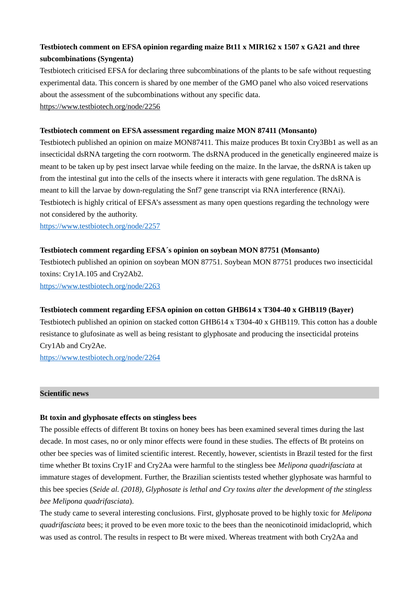# **Testbiotech comment on EFSA opinion regarding maize Bt11 x MIR162 x 1507 x GA21 and three subcombinations (Syngenta)**

Testbiotech criticised EFSA for declaring three subcombinations of the plants to be safe without requesting experimental data. This concern is shared by one member of the GMO panel who also voiced reservations about the assessment of the subcombinations without any specific data. <https://www.testbiotech.org/node/2256>

## **Testbiotech comment on EFSA assessment regarding maize MON 87411 (Monsanto)**

Testbiotech published an opinion on maize MON87411. This maize produces Bt toxin Cry3Bb1 as well as an insecticidal dsRNA targeting the corn rootworm. The dsRNA produced in the genetically engineered maize is meant to be taken up by pest insect larvae while feeding on the maize. In the larvae, the dsRNA is taken up from the intestinal gut into the cells of the insects where it interacts with gene regulation. The dsRNA is meant to kill the larvae by down-regulating the Snf7 gene transcript via RNA interference (RNAi). Testbiotech is highly critical of EFSA's assessment as many open questions regarding the technology were not considered by the authority.

<https://www.testbiotech.org/node/2257>

## **Testbiotech comment regarding EFSA´s opinion on soybean MON 87751 (Monsanto)**

Testbiotech published an opinion on soybean MON 87751. Soybean MON 87751 produces two insecticidal toxins: Cry1A.105 and Cry2Ab2. <https://www.testbiotech.org/node/2263>

## **Testbiotech comment regarding EFSA opinion on cotton GHB614 x T304-40 x GHB119 (Bayer)**

Testbiotech published an opinion on stacked cotton GHB614 x T304-40 x GHB119. This cotton has a double resistance to glufosinate as well as being resistant to glyphosate and producing the insecticidal proteins Cry1Ab and Cry2Ae.

<https://www.testbiotech.org/node/2264>

#### **Scientific news**

## **Bt toxin and glyphosate effects on stingless bees**

The possible effects of different Bt toxins on honey bees has been examined several times during the last decade. In most cases, no or only minor effects were found in these studies. The effects of Bt proteins on other bee species was of limited scientific interest. Recently, however, scientists in Brazil tested for the first time whether Bt toxins Cry1F and Cry2Aa were harmful to the stingless bee *Melipona quadrifasciata* at immature stages of development. Further, the Brazilian scientists tested whether glyphosate was harmful to this bee species (*Seide al. (2018), Glyphosate is lethal and Cry toxins alter the development of the stingless bee Melipona quadrifasciata*).

The study came to several interesting conclusions. First, glyphosate proved to be highly toxic for *Melipona quadrifasciata* bees; it proved to be even more toxic to the bees than the neonicotinoid imidacloprid, which was used as control. The results in respect to Bt were mixed. Whereas treatment with both Cry2Aa and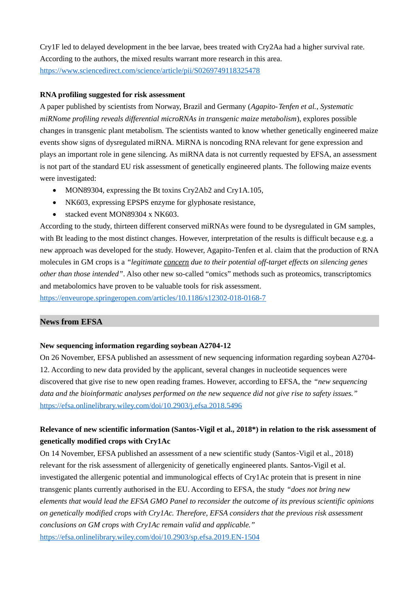Cry1F led to delayed development in the bee larvae, bees treated with Cry2Aa had a higher survival rate. According to the authors, the mixed results warrant more research in this area. <https://www.sciencedirect.com/science/article/pii/S0269749118325478>

#### **RNA profiling suggested for risk assessment**

A paper published by scientists from Norway, Brazil and Germany (*Agapito-Tenfen et al.*, *Systematic miRNome profiling reveals differential microRNAs in transgenic maize metabolism*), explores possible changes in transgenic plant metabolism. The scientists wanted to know whether genetically engineered maize events show signs of dysregulated miRNA. MiRNA is noncoding RNA relevant for gene expression and plays an important role in gene silencing. As miRNA data is not currently requested by EFSA, an assessment is not part of the standard EU risk assessment of genetically engineered plants. The following maize events were investigated:

- MON89304, expressing the Bt toxins Cry2Ab2 and Cry1A.105,
- NK603, expressing EPSPS enzyme for glyphosate resistance,
- stacked event MON89304 x NK603.

According to the study, thirteen different conserved miRNAs were found to be dysregulated in GM samples, with Bt leading to the most distinct changes. However, interpretation of the results is difficult because e.g. a new approach was developed for the study. However, Agapito-Tenfen et al. claim that the production of RNA molecules in GM crops is a *"legitimate concern due to their potential off-target effects on silencing genes other than those intended"*. Also other new so-called "omics" methods such as proteomics, transcriptomics and metabolomics have proven to be valuable tools for risk assessment.

<https://enveurope.springeropen.com/articles/10.1186/s12302-018-0168-7>

## **News from EFSA**

## **New sequencing information regarding soybean A2704-12**

On 26 November, EFSA published an assessment of new sequencing information regarding soybean A2704- 12. According to new data provided by the applicant, several changes in nucleotide sequences were discovered that give rise to new open reading frames. However, according to EFSA, the *"new sequencing data and the bioinformatic analyses performed on the new sequence did not give rise to safety issues."* <https://efsa.onlinelibrary.wiley.com/doi/10.2903/j.efsa.2018.5496>

## **Relevance of new scientific information (Santos-Vigil et al., 2018\*) in relation to the risk assessment of genetically modified crops with Cry1Ac**

On 14 November, EFSA published an assessment of a new scientific study (Santos-Vigil et al., 2018) relevant for the risk assessment of allergenicity of genetically engineered plants. Santos-Vigil et al. investigated the allergenic potential and immunological effects of Cry1Ac protein that is present in nine transgenic plants currently authorised in the EU. According to EFSA, the study *"does not bring new elements that would lead the EFSA GMO Panel to reconsider the outcome of its previous scientific opinions on genetically modified crops with Cry1Ac. Therefore, EFSA considers that the previous risk assessment conclusions on GM crops with Cry1Ac remain valid and applicable."*

<https://efsa.onlinelibrary.wiley.com/doi/10.2903/sp.efsa.2019.EN-1504>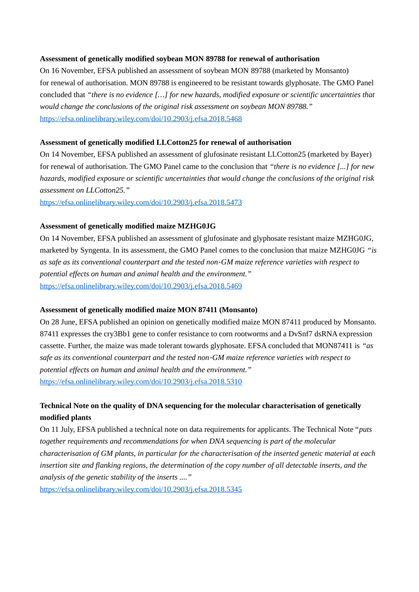#### **Assessment of genetically modified soybean MON 89788 for renewal of authorisation**

On 16 November, EFSA published an assessment of soybean MON 89788 (marketed by Monsanto) for renewal of authorisation. MON 89788 is engineered to be resistant towards glyphosate. The GMO Panel concluded that *"there is no evidence […] for new hazards, modified exposure or scientific uncertainties that would change the conclusions of the original risk assessment on soybean MON 89788."* <https://efsa.onlinelibrary.wiley.com/doi/10.2903/j.efsa.2018.5468>

#### **Assessment of genetically modified LLCotton25 for renewal of authorisation**

On 14 November, EFSA published an assessment of glufosinate resistant LLCotton25 (marketed by Bayer) for renewal of authorisation. The GMO Panel came to the conclusion that *"there is no evidence [...] for new hazards, modified exposure or scientific uncertainties that would change the conclusions of the original risk assessment on LLCotton25."*

<https://efsa.onlinelibrary.wiley.com/doi/10.2903/j.efsa.2018.5473>

#### **Assessment of genetically modified maize MZHG0JG**

On 14 November, EFSA published an assessment of glufosinate and glyphosate resistant maize MZHG0JG, marketed by Syngenta. In its assessment, the GMO Panel comes to the conclusion that maize MZHG0JG *"is as safe as its conventional counterpart and the tested non GM maize reference varieties with respect to ‐GM maize reference varieties with respect to potential effects on human and animal health and the environment."* <https://efsa.onlinelibrary.wiley.com/doi/10.2903/j.efsa.2018.5469>

## **Assessment of genetically modified maize MON 87411 (Monsanto)**

On 28 June, EFSA published an opinion on genetically modified maize MON 87411 produced by Monsanto. 87411 expresses the cry3Bb1 gene to confer resistance to corn rootworms and a DvSnf7 dsRNA expression cassette. Further, the maize was made tolerant towards glyphosate. EFSA concluded that MON87411 is *"as safe as its conventional counterpart and the tested non GM maize reference varieties with respect to ‐GM maize reference varieties with respect to potential effects on human and animal health and the environment."* <https://efsa.onlinelibrary.wiley.com/doi/10.2903/j.efsa.2018.5310>

# **Technical Note on the quality of DNA sequencing for the molecular characterisation of genetically modified plants**

On 11 July, EFSA published a technical note on data requirements for applicants. The Technical Note "*puts together requirements and recommendations for when DNA sequencing is part of the molecular characterisation of GM plants, in particular for the characterisation of the inserted genetic material at each insertion site and flanking regions, the determination of the copy number of all detectable inserts, and the analysis of the genetic stability of the inserts ...."*

<https://efsa.onlinelibrary.wiley.com/doi/10.2903/j.efsa.2018.5345>